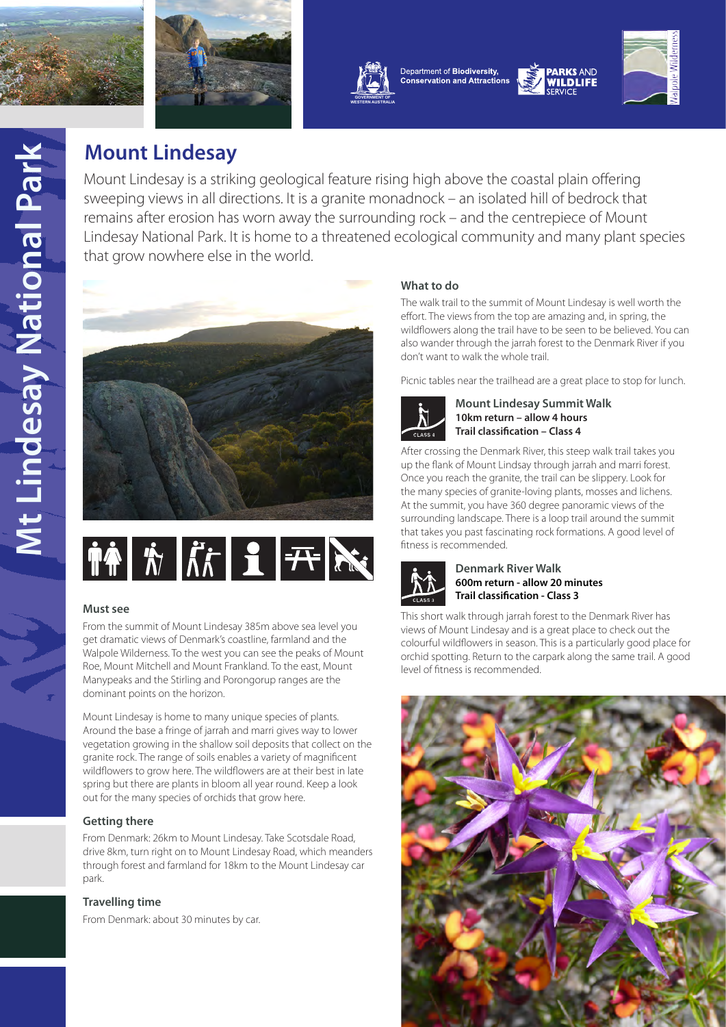





Department of Biodiversity, **Conservation and Attractions** 



# **Mount Lindesay**

Mount Lindesay is a striking geological feature rising high above the coastal plain offering sweeping views in all directions. It is a granite monadnock – an isolated hill of bedrock that remains after erosion has worn away the surrounding rock – and the centrepiece of Mount Lindesay National Park. It is home to a threatened ecological community and many plant species that grow nowhere else in the world.



# THE REAL REAL PROPERTY

## **Must see**

From the summit of Mount Lindesay 385m above sea level you get dramatic views of Denmark's coastline, farmland and the Walpole Wilderness. To the west you can see the peaks of Mount Roe, Mount Mitchell and Mount Frankland. To the east, Mount Manypeaks and the Stirling and Porongorup ranges are the dominant points on the horizon.

Mount Lindesay is home to many unique species of plants. Around the base a fringe of jarrah and marri gives way to lower vegetation growing in the shallow soil deposits that collect on the granite rock. The range of soils enables a variety of magnificent wildflowers to grow here. The wildflowers are at their best in late spring but there are plants in bloom all year round. Keep a look out for the many species of orchids that grow here.

# **Getting there**

From Denmark: 26km to Mount Lindesay. Take Scotsdale Road, drive 8km, turn right on to Mount Lindesay Road, which meanders through forest and farmland for 18km to the Mount Lindesay car park.

# **Travelling time**

From Denmark: about 30 minutes by car.

# **What to do**

The walk trail to the summit of Mount Lindesay is well worth the effort. The views from the top are amazing and, in spring, the wildflowers along the trail have to be seen to be believed. You can also wander through the jarrah forest to the Denmark River if you don't want to walk the whole trail.

Picnic tables near the trailhead are a great place to stop for lunch.



**Mount Lindesay Summit Walk 10km return – allow 4 hours Trail classification – Class 4**

After crossing the Denmark River, this steep walk trail takes you up the flank of Mount Lindsay through jarrah and marri forest. Once you reach the granite, the trail can be slippery. Look for the many species of granite-loving plants, mosses and lichens. At the summit, you have 360 degree panoramic views of the surrounding landscape. There is a loop trail around the summit that takes you past fascinating rock formations. A good level of fitness is recommended.



#### **Denmark River Walk 600m return - allow 20 minutes Trail classification - Class 3**

This short walk through jarrah forest to the Denmark River has views of Mount Lindesay and is a great place to check out the colourful wildflowers in season. This is a particularly good place for orchid spotting. Return to the carpark along the same trail. A good level of fitness is recommended.